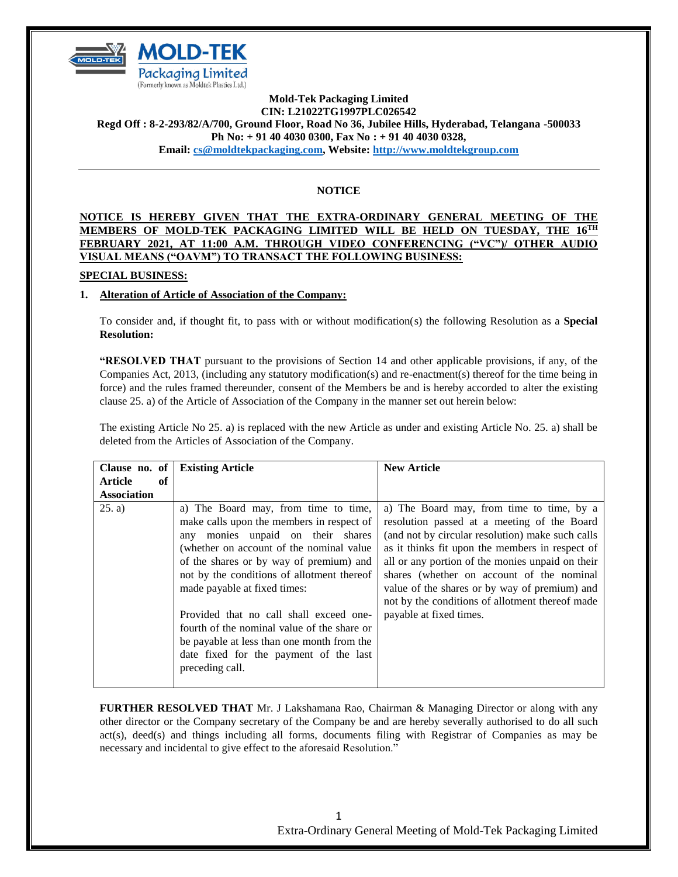

### **Mold-Tek Packaging Limited CIN: L21022TG1997PLC026542 Regd Off : 8-2-293/82/A/700, Ground Floor, Road No 36, Jubilee Hills, Hyderabad, Telangana -500033 Ph No: + 91 40 4030 0300, Fax No : + 91 40 4030 0328, Email: [cs@moldtekpackaging.com,](mailto:cs@moldtekpackaging.com) Website: [http://www.moldtekgroup.com](http://www.moldtekgroup.com/)**

# **NOTICE**

### **NOTICE IS HEREBY GIVEN THAT THE EXTRA-ORDINARY GENERAL MEETING OF THE MEMBERS OF MOLD-TEK PACKAGING LIMITED WILL BE HELD ON TUESDAY, THE 16TH FEBRUARY 2021, AT 11:00 A.M. THROUGH VIDEO CONFERENCING ("VC")/ OTHER AUDIO VISUAL MEANS ("OAVM") TO TRANSACT THE FOLLOWING BUSINESS:**

# **SPECIAL BUSINESS:**

# **1. Alteration of Article of Association of the Company:**

To consider and, if thought fit, to pass with or without modification(s) the following Resolution as a **Special Resolution:**

**"RESOLVED THAT** pursuant to the provisions of Section 14 and other applicable provisions, if any, of the Companies Act, 2013, (including any statutory modification(s) and re-enactment(s) thereof for the time being in force) and the rules framed thereunder, consent of the Members be and is hereby accorded to alter the existing clause 25. a) of the Article of Association of the Company in the manner set out herein below:

The existing Article No 25. a) is replaced with the new Article as under and existing Article No. 25. a) shall be deleted from the Articles of Association of the Company.

| Clause no. of        | <b>Existing Article</b>                                                                                                                                                                                                                                                                      | <b>New Article</b>                                                                                                                                                                                                                                                                                                                                                                                   |
|----------------------|----------------------------------------------------------------------------------------------------------------------------------------------------------------------------------------------------------------------------------------------------------------------------------------------|------------------------------------------------------------------------------------------------------------------------------------------------------------------------------------------------------------------------------------------------------------------------------------------------------------------------------------------------------------------------------------------------------|
| <b>Article</b><br>of |                                                                                                                                                                                                                                                                                              |                                                                                                                                                                                                                                                                                                                                                                                                      |
| <b>Association</b>   |                                                                                                                                                                                                                                                                                              |                                                                                                                                                                                                                                                                                                                                                                                                      |
| (25. a)              | a) The Board may, from time to time,<br>make calls upon the members in respect of<br>any monies unpaid on their shares<br>(whether on account of the nominal value)<br>of the shares or by way of premium) and<br>not by the conditions of allotment thereof<br>made payable at fixed times: | a) The Board may, from time to time, by a<br>resolution passed at a meeting of the Board<br>(and not by circular resolution) make such calls<br>as it thinks fit upon the members in respect of<br>all or any portion of the monies unpaid on their<br>shares (whether on account of the nominal<br>value of the shares or by way of premium) and<br>not by the conditions of allotment thereof made |
|                      | Provided that no call shall exceed one-<br>fourth of the nominal value of the share or<br>be payable at less than one month from the<br>date fixed for the payment of the last<br>preceding call.                                                                                            | payable at fixed times.                                                                                                                                                                                                                                                                                                                                                                              |

**FURTHER RESOLVED THAT** Mr. J Lakshamana Rao, Chairman & Managing Director or along with any other director or the Company secretary of the Company be and are hereby severally authorised to do all such act(s), deed(s) and things including all forms, documents filing with Registrar of Companies as may be necessary and incidental to give effect to the aforesaid Resolution."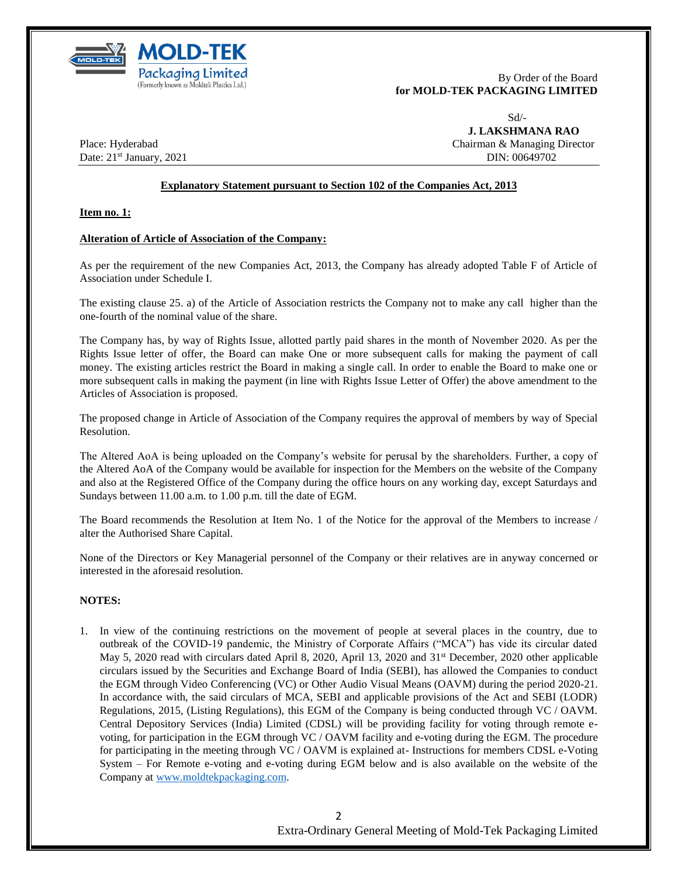

By Order of the Board **for MOLD-TEK PACKAGING LIMITED**

Sd/-

 **J. LAKSHMANA RAO** Place: Hyderabad Chairman & Managing Director

Date: 21<sup>st</sup> January, 2021 **DIN: 00649702** DIN: 00649702

### **Explanatory Statement pursuant to Section 102 of the Companies Act, 2013**

**Item no. 1:** 

#### **Alteration of Article of Association of the Company:**

As per the requirement of the new Companies Act, 2013, the Company has already adopted Table F of Article of Association under Schedule I.

The existing clause 25. a) of the Article of Association restricts the Company not to make any call higher than the one-fourth of the nominal value of the share.

The Company has, by way of Rights Issue, allotted partly paid shares in the month of November 2020. As per the Rights Issue letter of offer, the Board can make One or more subsequent calls for making the payment of call money. The existing articles restrict the Board in making a single call. In order to enable the Board to make one or more subsequent calls in making the payment (in line with Rights Issue Letter of Offer) the above amendment to the Articles of Association is proposed.

The proposed change in Article of Association of the Company requires the approval of members by way of Special Resolution.

The Altered AoA is being uploaded on the Company's website for perusal by the shareholders. Further, a copy of the Altered AoA of the Company would be available for inspection for the Members on the website of the Company and also at the Registered Office of the Company during the office hours on any working day, except Saturdays and Sundays between 11.00 a.m. to 1.00 p.m. till the date of EGM.

The Board recommends the Resolution at Item No. 1 of the Notice for the approval of the Members to increase / alter the Authorised Share Capital.

None of the Directors or Key Managerial personnel of the Company or their relatives are in anyway concerned or interested in the aforesaid resolution.

### **NOTES:**

1. In view of the continuing restrictions on the movement of people at several places in the country, due to outbreak of the COVID-19 pandemic, the Ministry of Corporate Affairs ("MCA") has vide its circular dated May 5, 2020 read with circulars dated April 8, 2020, April 13, 2020 and 31<sup>st</sup> December, 2020 other applicable circulars issued by the Securities and Exchange Board of India (SEBI), has allowed the Companies to conduct the EGM through Video Conferencing (VC) or Other Audio Visual Means (OAVM) during the period 2020-21. In accordance with, the said circulars of MCA, SEBI and applicable provisions of the Act and SEBI (LODR) Regulations, 2015, (Listing Regulations), this EGM of the Company is being conducted through VC / OAVM. Central Depository Services (India) Limited (CDSL) will be providing facility for voting through remote evoting, for participation in the EGM through VC / OAVM facility and e-voting during the EGM. The procedure for participating in the meeting through VC / OAVM is explained at- Instructions for members CDSL e-Voting System – For Remote e-voting and e-voting during EGM below and is also available on the website of the Company at [www.moldtekpackaging.com.](http://www.moldtekpackaging.com/)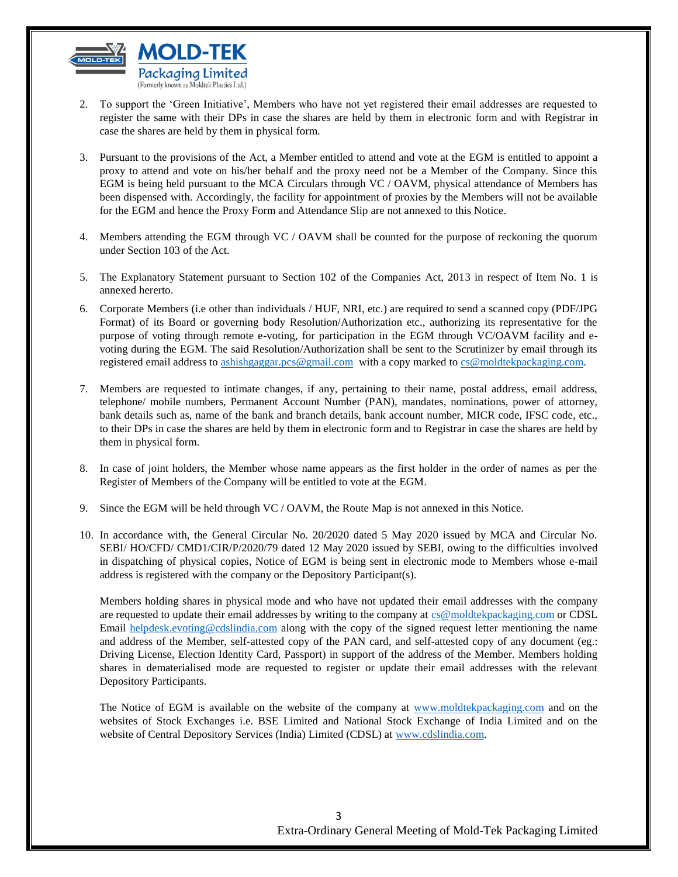

- 2. To support the 'Green Initiative', Members who have not yet registered their email addresses are requested to register the same with their DPs in case the shares are held by them in electronic form and with Registrar in case the shares are held by them in physical form.
- 3. Pursuant to the provisions of the Act, a Member entitled to attend and vote at the EGM is entitled to appoint a proxy to attend and vote on his/her behalf and the proxy need not be a Member of the Company. Since this EGM is being held pursuant to the MCA Circulars through VC / OAVM, physical attendance of Members has been dispensed with. Accordingly, the facility for appointment of proxies by the Members will not be available for the EGM and hence the Proxy Form and Attendance Slip are not annexed to this Notice.
- 4. Members attending the EGM through VC / OAVM shall be counted for the purpose of reckoning the quorum under Section 103 of the Act.
- 5. The Explanatory Statement pursuant to Section 102 of the Companies Act, 2013 in respect of Item No. 1 is annexed hererto.
- 6. Corporate Members (i.e other than individuals / HUF, NRI, etc.) are required to send a scanned copy (PDF/JPG Format) of its Board or governing body Resolution/Authorization etc., authorizing its representative for the purpose of voting through remote e-voting, for participation in the EGM through VC/OAVM facility and evoting during the EGM. The said Resolution/Authorization shall be sent to the Scrutinizer by email through its registered email address to [ashishgaggar.pcs@gmail.com](mailto:ashishgaggar.pcs@gmail.com) with a copy marked to [cs@moldtekpackaging.com.](mailto:cs@moldtekpackaging.com)
- 7. Members are requested to intimate changes, if any, pertaining to their name, postal address, email address, telephone/ mobile numbers, Permanent Account Number (PAN), mandates, nominations, power of attorney, bank details such as, name of the bank and branch details, bank account number, MICR code, IFSC code, etc., to their DPs in case the shares are held by them in electronic form and to Registrar in case the shares are held by them in physical form.
- 8. In case of joint holders, the Member whose name appears as the first holder in the order of names as per the Register of Members of the Company will be entitled to vote at the EGM.
- 9. Since the EGM will be held through VC / OAVM, the Route Map is not annexed in this Notice.
- 10. In accordance with, the General Circular No. 20/2020 dated 5 May 2020 issued by MCA and Circular No. SEBI/ HO/CFD/ CMD1/CIR/P/2020/79 dated 12 May 2020 issued by SEBI, owing to the difficulties involved in dispatching of physical copies, Notice of EGM is being sent in electronic mode to Members whose e-mail address is registered with the company or the Depository Participant(s).

Members holding shares in physical mode and who have not updated their email addresses with the company are requested to update their email addresses by writing to the company at [cs@moldtekpackaging.com](mailto:cs@moldtekpackaging.com) or CDSL Email [helpdesk.evoting@cdslindia.com](mailto:helpdesk.evoting@cdslindia.com) along with the copy of the signed request letter mentioning the name and address of the Member, self-attested copy of the PAN card, and self-attested copy of any document (eg.: Driving License, Election Identity Card, Passport) in support of the address of the Member. Members holding shares in dematerialised mode are requested to register or update their email addresses with the relevant Depository Participants.

The Notice of EGM is available on the website of the company at [www.moldtekpackaging.com](http://www.moldtekpackaging.com/) and on the websites of Stock Exchanges i.e. BSE Limited and National Stock Exchange of India Limited and on the website of Central Depository Services (India) Limited (CDSL) at [www.cdslindia.com.](http://www.cdslindia.com/)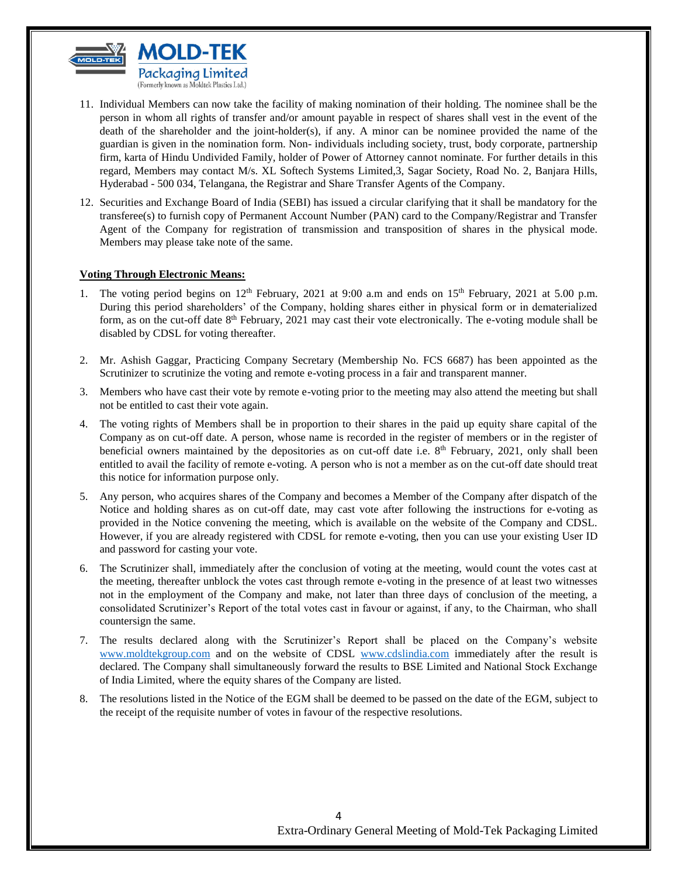

- 11. Individual Members can now take the facility of making nomination of their holding. The nominee shall be the person in whom all rights of transfer and/or amount payable in respect of shares shall vest in the event of the death of the shareholder and the joint-holder(s), if any. A minor can be nominee provided the name of the guardian is given in the nomination form. Non- individuals including society, trust, body corporate, partnership firm, karta of Hindu Undivided Family, holder of Power of Attorney cannot nominate. For further details in this regard, Members may contact M/s. XL Softech Systems Limited,3, Sagar Society, Road No. 2, Banjara Hills, Hyderabad - 500 034, Telangana, the Registrar and Share Transfer Agents of the Company.
- 12. Securities and Exchange Board of India (SEBI) has issued a circular clarifying that it shall be mandatory for the transferee(s) to furnish copy of Permanent Account Number (PAN) card to the Company/Registrar and Transfer Agent of the Company for registration of transmission and transposition of shares in the physical mode. Members may please take note of the same.

#### **Voting Through Electronic Means:**

- 1. The voting period begins on  $12<sup>th</sup>$  February, 2021 at 9:00 a.m and ends on  $15<sup>th</sup>$  February, 2021 at 5.00 p.m. During this period shareholders' of the Company, holding shares either in physical form or in dematerialized form, as on the cut-off date 8<sup>th</sup> February, 2021 may cast their vote electronically. The e-voting module shall be disabled by CDSL for voting thereafter.
- 2. Mr. Ashish Gaggar, Practicing Company Secretary (Membership No. FCS 6687) has been appointed as the Scrutinizer to scrutinize the voting and remote e-voting process in a fair and transparent manner.
- 3. Members who have cast their vote by remote e-voting prior to the meeting may also attend the meeting but shall not be entitled to cast their vote again.
- 4. The voting rights of Members shall be in proportion to their shares in the paid up equity share capital of the Company as on cut-off date. A person, whose name is recorded in the register of members or in the register of beneficial owners maintained by the depositories as on cut-off date i.e.  $8<sup>th</sup>$  February, 2021, only shall been entitled to avail the facility of remote e-voting. A person who is not a member as on the cut-off date should treat this notice for information purpose only.
- 5. Any person, who acquires shares of the Company and becomes a Member of the Company after dispatch of the Notice and holding shares as on cut-off date, may cast vote after following the instructions for e-voting as provided in the Notice convening the meeting, which is available on the website of the Company and CDSL. However, if you are already registered with CDSL for remote e-voting, then you can use your existing User ID and password for casting your vote.
- 6. The Scrutinizer shall, immediately after the conclusion of voting at the meeting, would count the votes cast at the meeting, thereafter unblock the votes cast through remote e-voting in the presence of at least two witnesses not in the employment of the Company and make, not later than three days of conclusion of the meeting, a consolidated Scrutinizer's Report of the total votes cast in favour or against, if any, to the Chairman, who shall countersign the same.
- 7. The results declared along with the Scrutinizer's Report shall be placed on the Company's website [www.moldtekgroup.com](http://www.moldtekgroup.com/) and on the website of CDSL [www.cdslindia.com](http://www.cdslindia.com/) immediately after the result is declared. The Company shall simultaneously forward the results to BSE Limited and National Stock Exchange of India Limited, where the equity shares of the Company are listed.
- 8. The resolutions listed in the Notice of the EGM shall be deemed to be passed on the date of the EGM, subject to the receipt of the requisite number of votes in favour of the respective resolutions.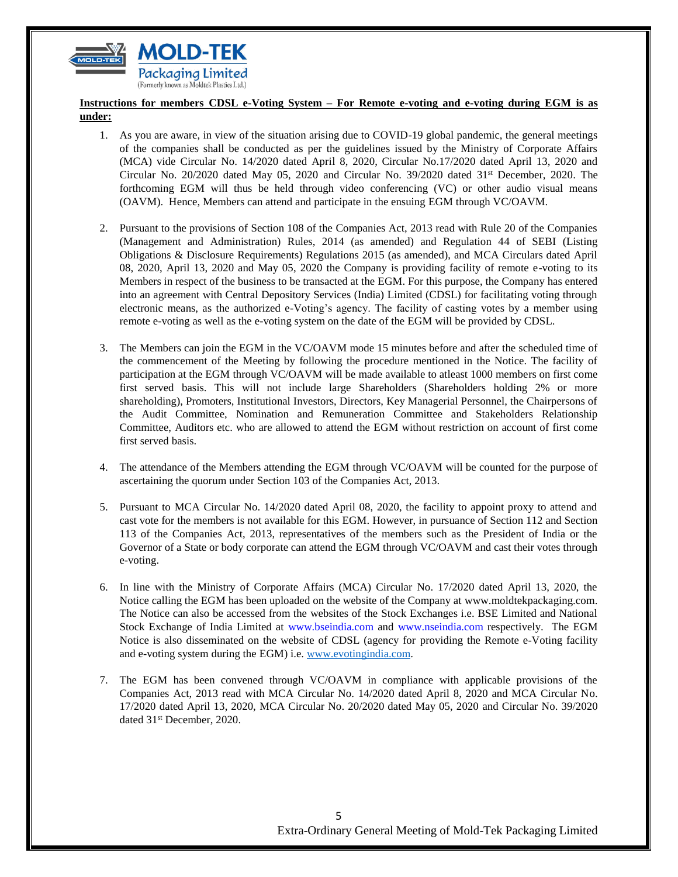

# **Instructions for members CDSL e-Voting System – For Remote e-voting and e-voting during EGM is as under:**

- 1. As you are aware, in view of the situation arising due to COVID-19 global pandemic, the general meetings of the companies shall be conducted as per the guidelines issued by the Ministry of Corporate Affairs (MCA) vide Circular No. 14/2020 dated April 8, 2020, Circular No.17/2020 dated April 13, 2020 and Circular No. 20/2020 dated May 05, 2020 and Circular No. 39/2020 dated  $31<sup>st</sup>$  December, 2020. The forthcoming EGM will thus be held through video conferencing (VC) or other audio visual means (OAVM). Hence, Members can attend and participate in the ensuing EGM through VC/OAVM.
- 2. Pursuant to the provisions of Section 108 of the Companies Act, 2013 read with Rule 20 of the Companies (Management and Administration) Rules, 2014 (as amended) and Regulation 44 of SEBI (Listing Obligations & Disclosure Requirements) Regulations 2015 (as amended), and MCA Circulars dated April 08, 2020, April 13, 2020 and May 05, 2020 the Company is providing facility of remote e-voting to its Members in respect of the business to be transacted at the EGM. For this purpose, the Company has entered into an agreement with Central Depository Services (India) Limited (CDSL) for facilitating voting through electronic means, as the authorized e-Voting's agency. The facility of casting votes by a member using remote e-voting as well as the e-voting system on the date of the EGM will be provided by CDSL.
- 3. The Members can join the EGM in the VC/OAVM mode 15 minutes before and after the scheduled time of the commencement of the Meeting by following the procedure mentioned in the Notice. The facility of participation at the EGM through VC/OAVM will be made available to atleast 1000 members on first come first served basis. This will not include large Shareholders (Shareholders holding 2% or more shareholding), Promoters, Institutional Investors, Directors, Key Managerial Personnel, the Chairpersons of the Audit Committee, Nomination and Remuneration Committee and Stakeholders Relationship Committee, Auditors etc. who are allowed to attend the EGM without restriction on account of first come first served basis.
- 4. The attendance of the Members attending the EGM through VC/OAVM will be counted for the purpose of ascertaining the quorum under Section 103 of the Companies Act, 2013.
- 5. Pursuant to MCA Circular No. 14/2020 dated April 08, 2020, the facility to appoint proxy to attend and cast vote for the members is not available for this EGM. However, in pursuance of Section 112 and Section 113 of the Companies Act, 2013, representatives of the members such as the President of India or the Governor of a State or body corporate can attend the EGM through VC/OAVM and cast their votes through e-voting.
- 6. In line with the Ministry of Corporate Affairs (MCA) Circular No. 17/2020 dated April 13, 2020, the Notice calling the EGM has been uploaded on the website of the Company at [www.moldtekpackaging.com.](http://www.moldtekpackaging.com/) The Notice can also be accessed from the websites of the Stock Exchanges i.e. BSE Limited and National Stock Exchange of India Limited at www.bseindia.com and www.nseindia.com respectively. The EGM Notice is also disseminated on the website of CDSL (agency for providing the Remote e-Voting facility and e-voting system during the EGM) i.e. [www.evotingindia.com.](http://www.evotingindia.com/)
- 7. The EGM has been convened through VC/OAVM in compliance with applicable provisions of the Companies Act, 2013 read with MCA Circular No. 14/2020 dated April 8, 2020 and MCA Circular No. 17/2020 dated April 13, 2020, MCA Circular No. 20/2020 dated May 05, 2020 and Circular No. 39/2020 dated 31<sup>st</sup> December, 2020.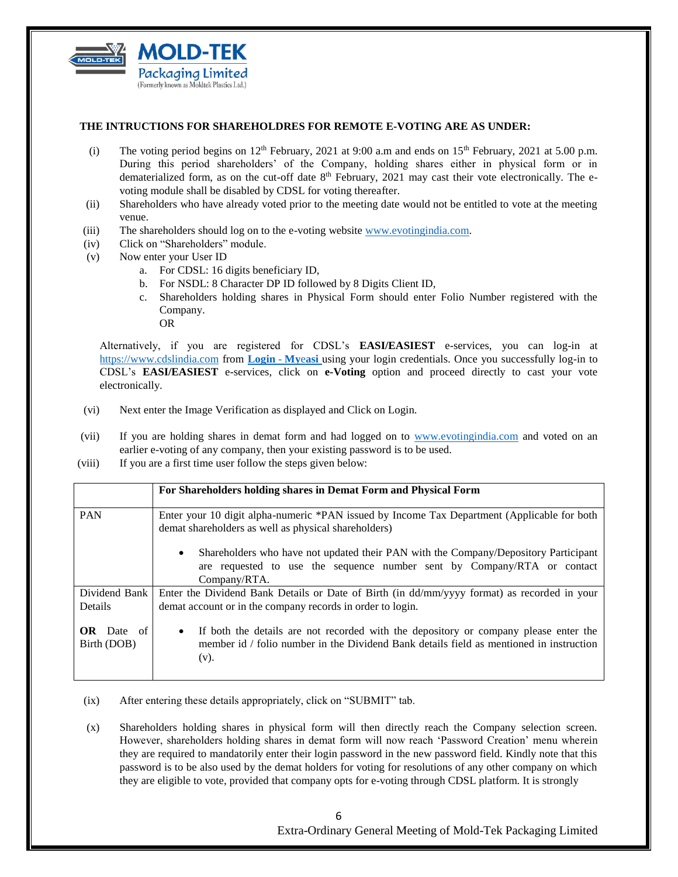

#### **THE INTRUCTIONS FOR SHAREHOLDRES FOR REMOTE E-VOTING ARE AS UNDER:**

- (i) The voting period begins on  $12<sup>th</sup>$  February, 2021 at 9:00 a.m and ends on  $15<sup>th</sup>$  February, 2021 at 5.00 p.m. During this period shareholders' of the Company, holding shares either in physical form or in dematerialized form, as on the cut-off date 8<sup>th</sup> February, 2021 may cast their vote electronically. The evoting module shall be disabled by CDSL for voting thereafter.
- (ii) Shareholders who have already voted prior to the meeting date would not be entitled to vote at the meeting venue.
- (iii) The shareholders should log on to the e-voting website [www.evotingindia.com.](http://www.evotingindia.com/)
- (iv) Click on "Shareholders" module.
- (v) Now enter your User ID
	- a. For CDSL: 16 digits beneficiary ID,
	- b. For NSDL: 8 Character DP ID followed by 8 Digits Client ID,
	- c. Shareholders holding shares in Physical Form should enter Folio Number registered with the Company. OR

Alternatively, if you are registered for CDSL's **EASI/EASIEST** e-services, you can log-in at [https://www.cdslindia.com](https://www.cdslindia.com/) from **[Login](Login - Myeasi)** - **My**e**asi** using your login credentials. Once you successfully log-in to CDSL's **EASI/EASIEST** e-services, click on **e-Voting** option and proceed directly to cast your vote electronically.

- (vi) Next enter the Image Verification as displayed and Click on Login.
- (vii) If you are holding shares in demat form and had logged on to [www.evotingindia.com](http://www.evotingindia.com/) and voted on an earlier e-voting of any company, then your existing password is to be used.
- (viii) If you are a first time user follow the steps given below:

|                                  | For Shareholders holding shares in Demat Form and Physical Form                                                                                                                             |  |
|----------------------------------|---------------------------------------------------------------------------------------------------------------------------------------------------------------------------------------------|--|
| <b>PAN</b>                       | Enter your 10 digit alpha-numeric *PAN issued by Income Tax Department (Applicable for both<br>demat shareholders as well as physical shareholders)                                         |  |
|                                  | Shareholders who have not updated their PAN with the Company/Depository Participant<br>$\bullet$<br>are requested to use the sequence number sent by Company/RTA or contact<br>Company/RTA. |  |
| Dividend Bank<br><b>Details</b>  | Enter the Dividend Bank Details or Date of Birth (in dd/mm/yyyy format) as recorded in your<br>demat account or in the company records in order to login.                                   |  |
| <b>OR</b> Date of<br>Birth (DOB) | If both the details are not recorded with the depository or company please enter the<br>member id / folio number in the Dividend Bank details field as mentioned in instruction<br>(v).     |  |

- (ix) After entering these details appropriately, click on "SUBMIT" tab.
- (x) Shareholders holding shares in physical form will then directly reach the Company selection screen. However, shareholders holding shares in demat form will now reach 'Password Creation' menu wherein they are required to mandatorily enter their login password in the new password field. Kindly note that this password is to be also used by the demat holders for voting for resolutions of any other company on which they are eligible to vote, provided that company opts for e-voting through CDSL platform. It is strongly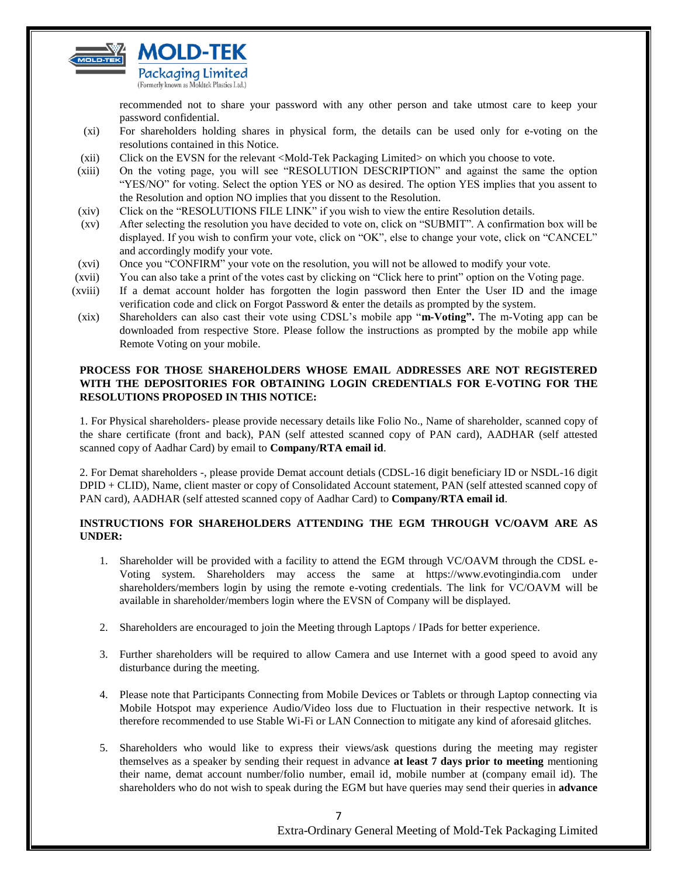

recommended not to share your password with any other person and take utmost care to keep your password confidential.

- (xi) For shareholders holding shares in physical form, the details can be used only for e-voting on the resolutions contained in this Notice.
- (xii) Click on the EVSN for the relevant <Mold-Tek Packaging Limited> on which you choose to vote.
- (xiii) On the voting page, you will see "RESOLUTION DESCRIPTION" and against the same the option "YES/NO" for voting. Select the option YES or NO as desired. The option YES implies that you assent to the Resolution and option NO implies that you dissent to the Resolution.
- (xiv) Click on the "RESOLUTIONS FILE LINK" if you wish to view the entire Resolution details.
- (xv) After selecting the resolution you have decided to vote on, click on "SUBMIT". A confirmation box will be displayed. If you wish to confirm your vote, click on "OK", else to change your vote, click on "CANCEL" and accordingly modify your vote.
- (xvi) Once you "CONFIRM" your vote on the resolution, you will not be allowed to modify your vote.
- (xvii) You can also take a print of the votes cast by clicking on "Click here to print" option on the Voting page.
- (xviii) If a demat account holder has forgotten the login password then Enter the User ID and the image verification code and click on Forgot Password & enter the details as prompted by the system.
- (xix) Shareholders can also cast their vote using CDSL's mobile app "**m-Voting".** The m-Voting app can be downloaded from respective Store. Please follow the instructions as prompted by the mobile app while Remote Voting on your mobile.

### **PROCESS FOR THOSE SHAREHOLDERS WHOSE EMAIL ADDRESSES ARE NOT REGISTERED WITH THE DEPOSITORIES FOR OBTAINING LOGIN CREDENTIALS FOR E-VOTING FOR THE RESOLUTIONS PROPOSED IN THIS NOTICE:**

1. For Physical shareholders- please provide necessary details like Folio No., Name of shareholder, scanned copy of the share certificate (front and back), PAN (self attested scanned copy of PAN card), AADHAR (self attested scanned copy of Aadhar Card) by email to **Company/RTA email id**.

2. For Demat shareholders -, please provide Demat account detials (CDSL-16 digit beneficiary ID or NSDL-16 digit DPID + CLID), Name, client master or copy of Consolidated Account statement, PAN (self attested scanned copy of PAN card), AADHAR (self attested scanned copy of Aadhar Card) to **Company/RTA email id**.

# **INSTRUCTIONS FOR SHAREHOLDERS ATTENDING THE EGM THROUGH VC/OAVM ARE AS UNDER:**

- 1. Shareholder will be provided with a facility to attend the EGM through VC/OAVM through the CDSL e-Voting system. Shareholders may access the same at https://www.evotingindia.com under shareholders/members login by using the remote e-voting credentials. The link for VC/OAVM will be available in shareholder/members login where the EVSN of Company will be displayed.
- 2. Shareholders are encouraged to join the Meeting through Laptops / IPads for better experience.
- 3. Further shareholders will be required to allow Camera and use Internet with a good speed to avoid any disturbance during the meeting.
- 4. Please note that Participants Connecting from Mobile Devices or Tablets or through Laptop connecting via Mobile Hotspot may experience Audio/Video loss due to Fluctuation in their respective network. It is therefore recommended to use Stable Wi-Fi or LAN Connection to mitigate any kind of aforesaid glitches.
- 5. Shareholders who would like to express their views/ask questions during the meeting may register themselves as a speaker by sending their request in advance **at least 7 days prior to meeting** mentioning their name, demat account number/folio number, email id, mobile number at (company email id). The shareholders who do not wish to speak during the EGM but have queries may send their queries in **advance**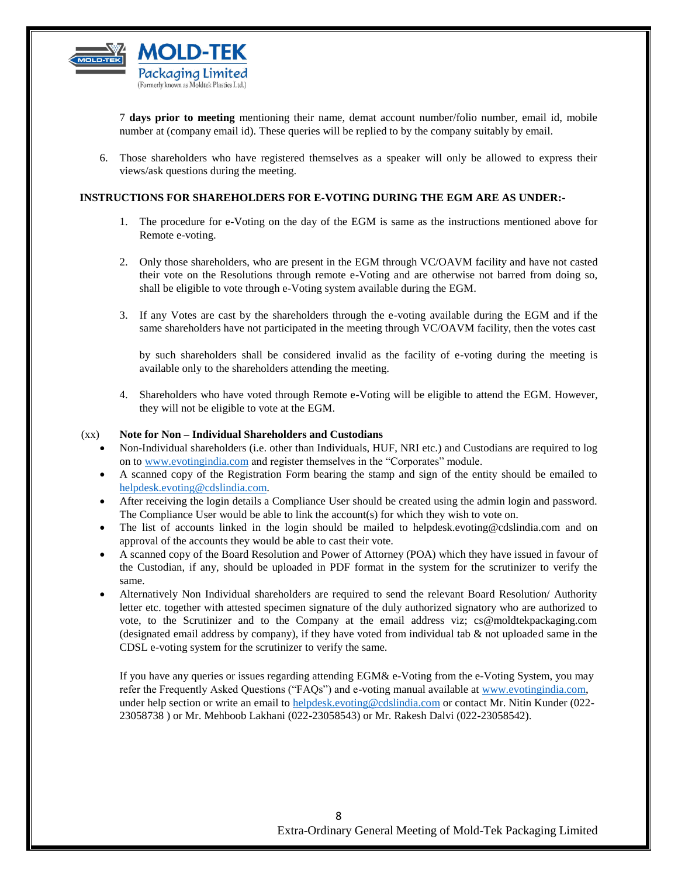

7 **days prior to meeting** mentioning their name, demat account number/folio number, email id, mobile number at (company email id). These queries will be replied to by the company suitably by email.

6. Those shareholders who have registered themselves as a speaker will only be allowed to express their views/ask questions during the meeting.

#### **INSTRUCTIONS FOR SHAREHOLDERS FOR E-VOTING DURING THE EGM ARE AS UNDER:-**

- 1. The procedure for e-Voting on the day of the EGM is same as the instructions mentioned above for Remote e-voting.
- 2. Only those shareholders, who are present in the EGM through VC/OAVM facility and have not casted their vote on the Resolutions through remote e-Voting and are otherwise not barred from doing so, shall be eligible to vote through e-Voting system available during the EGM.
- 3. If any Votes are cast by the shareholders through the e-voting available during the EGM and if the same shareholders have not participated in the meeting through VC/OAVM facility, then the votes cast

by such shareholders shall be considered invalid as the facility of e-voting during the meeting is available only to the shareholders attending the meeting.

4. Shareholders who have voted through Remote e-Voting will be eligible to attend the EGM. However, they will not be eligible to vote at the EGM.

#### (xx) **Note for Non – Individual Shareholders and Custodians**

- Non-Individual shareholders (i.e. other than Individuals, HUF, NRI etc.) and Custodians are required to log on to [www.evotingindia.com](http://www.evotingindia.com/) and register themselves in the "Corporates" module.
- A scanned copy of the Registration Form bearing the stamp and sign of the entity should be emailed to [helpdesk.evoting@cdslindia.com.](mailto:helpdesk.evoting@cdslindia.com)
- After receiving the login details a Compliance User should be created using the admin login and password. The Compliance User would be able to link the account(s) for which they wish to vote on.
- The list of accounts linked in the login should be mailed to helpdesk.evoting@cdslindia.com and on approval of the accounts they would be able to cast their vote.
- A scanned copy of the Board Resolution and Power of Attorney (POA) which they have issued in favour of the Custodian, if any, should be uploaded in PDF format in the system for the scrutinizer to verify the same.
- Alternatively Non Individual shareholders are required to send the relevant Board Resolution/ Authority letter etc. together with attested specimen signature of the duly authorized signatory who are authorized to vote, to the Scrutinizer and to the Company at the email address viz; cs@moldtekpackaging.com (designated email address by company), if they have voted from individual tab  $\&$  not uploaded same in the CDSL e-voting system for the scrutinizer to verify the same.

If you have any queries or issues regarding attending EGM& e-Voting from the e-Voting System, you may refer the Frequently Asked Questions ("FAQs") and e-voting manual available at [www.evotingindia.com,](http://www.evotingindia.com/)  under help section or write an email to [helpdesk.evoting@cdslindia.com](mailto:helpdesk.evoting@cdslindia.com) or contact Mr. Nitin Kunder (022-23058738 ) or Mr. Mehboob Lakhani (022-23058543) or Mr. Rakesh Dalvi (022-23058542).